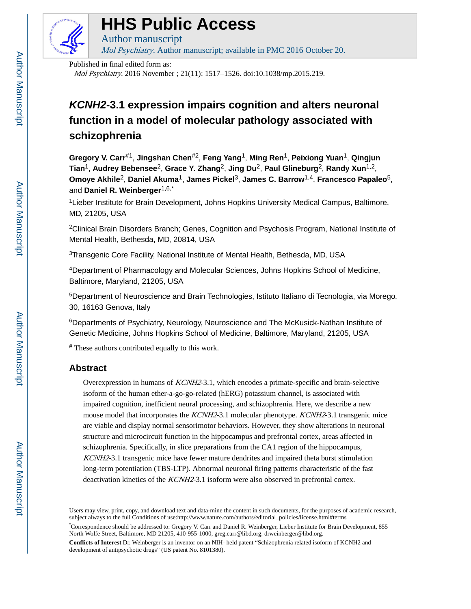

# **HHS Public Access**

Author manuscript Mol Psychiatry. Author manuscript; available in PMC 2016 October 20.

Published in final edited form as:

Mol Psychiatry. 2016 November ; 21(11): 1517–1526. doi:10.1038/mp.2015.219.

## **KCNH2-3.1 expression impairs cognition and alters neuronal function in a model of molecular pathology associated with schizophrenia**

**Gregory V. Carr**#1, **Jingshan Chen**#2, **Feng Yang**1, **Ming Ren**1, **Peixiong Yuan**1, **Qingjun Tian**1, **Audrey Bebensee**2, **Grace Y. Zhang**2, **Jing Du**2, **Paul Glineburg**2, **Randy Xun**1,2, **Omoye Akhile**2, **Daniel Akuma**1, **James Pickel**3, **James C. Barrow**1,4, **Francesco Papaleo**5, and **Daniel R. Weinberger**1,6,\*

<sup>1</sup>Lieber Institute for Brain Development, Johns Hopkins University Medical Campus, Baltimore, MD, 21205, USA

<sup>2</sup>Clinical Brain Disorders Branch; Genes, Cognition and Psychosis Program, National Institute of Mental Health, Bethesda, MD, 20814, USA

<sup>3</sup>Transgenic Core Facility, National Institute of Mental Health, Bethesda, MD, USA

<sup>4</sup>Department of Pharmacology and Molecular Sciences, Johns Hopkins School of Medicine, Baltimore, Maryland, 21205, USA

<sup>5</sup>Department of Neuroscience and Brain Technologies, Istituto Italiano di Tecnologia, via Morego, 30, 16163 Genova, Italy

<sup>6</sup>Departments of Psychiatry, Neurology, Neuroscience and The McKusick-Nathan Institute of Genetic Medicine, Johns Hopkins School of Medicine, Baltimore, Maryland, 21205, USA

# These authors contributed equally to this work.

## **Abstract**

Overexpression in humans of KCNH2-3.1, which encodes a primate-specific and brain-selective isoform of the human ether-a-go-go-related (hERG) potassium channel, is associated with impaired cognition, inefficient neural processing, and schizophrenia. Here, we describe a new mouse model that incorporates the KCNH2-3.1 molecular phenotype. KCNH2-3.1 transgenic mice are viable and display normal sensorimotor behaviors. However, they show alterations in neuronal structure and microcircuit function in the hippocampus and prefrontal cortex, areas affected in schizophrenia. Specifically, in slice preparations from the CA1 region of the hippocampus, KCNH2-3.1 transgenic mice have fewer mature dendrites and impaired theta burst stimulation long-term potentiation (TBS-LTP). Abnormal neuronal firing patterns characteristic of the fast deactivation kinetics of the KCNH2-3.1 isoform were also observed in prefrontal cortex.

Users may view, print, copy, and download text and data-mine the content in such documents, for the purposes of academic research, subject always to the full Conditions of use:http://www.nature.com/authors/editorial\_policies/license.html#terms

<sup>\*</sup>Correspondence should be addressed to: Gregory V. Carr and Daniel R. Weinberger, Lieber Institute for Brain Development, 855 North Wolfe Street, Baltimore, MD 21205, 410-955-1000, greg.carr@libd.org, drweinberger@libd.org.

**Conflicts of Interest** Dr. Weinberger is an inventor on an NIH- held patent "Schizophrenia related isoform of KCNH2 and development of antipsychotic drugs" (US patent No. 8101380).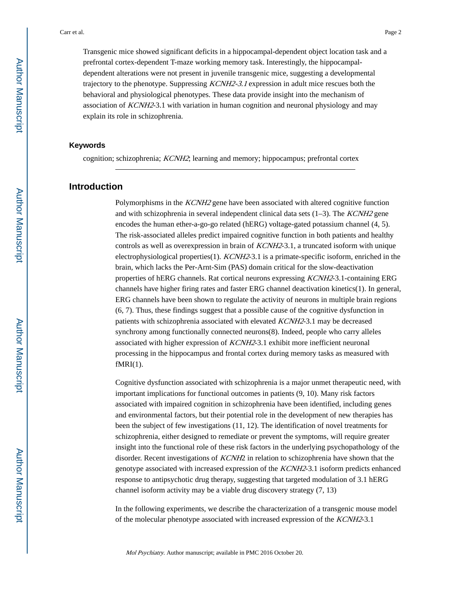Transgenic mice showed significant deficits in a hippocampal-dependent object location task and a prefrontal cortex-dependent T-maze working memory task. Interestingly, the hippocampaldependent alterations were not present in juvenile transgenic mice, suggesting a developmental trajectory to the phenotype. Suppressing KCNH2-3.1 expression in adult mice rescues both the behavioral and physiological phenotypes. These data provide insight into the mechanism of association of KCNH2-3.1 with variation in human cognition and neuronal physiology and may explain its role in schizophrenia.

#### **Keywords**

cognition; schizophrenia; KCNH2; learning and memory; hippocampus; prefrontal cortex

### **Introduction**

Polymorphisms in the KCNH2 gene have been associated with altered cognitive function and with schizophrenia in several independent clinical data sets  $(1-3)$ . The *KCNH2* gene encodes the human ether-a-go-go related (hERG) voltage-gated potassium channel (4, 5). The risk-associated alleles predict impaired cognitive function in both patients and healthy controls as well as overexpression in brain of KCNH2-3.1, a truncated isoform with unique electrophysiological properties(1). KCNH2-3.1 is a primate-specific isoform, enriched in the brain, which lacks the Per-Arnt-Sim (PAS) domain critical for the slow-deactivation properties of hERG channels. Rat cortical neurons expressing KCNH2-3.1-containing ERG channels have higher firing rates and faster ERG channel deactivation kinetics(1). In general, ERG channels have been shown to regulate the activity of neurons in multiple brain regions (6, 7). Thus, these findings suggest that a possible cause of the cognitive dysfunction in patients with schizophrenia associated with elevated KCNH2-3.1 may be decreased synchrony among functionally connected neurons(8). Indeed, people who carry alleles associated with higher expression of KCNH2-3.1 exhibit more inefficient neuronal processing in the hippocampus and frontal cortex during memory tasks as measured with  $fMRI(1)$ .

Cognitive dysfunction associated with schizophrenia is a major unmet therapeutic need, with important implications for functional outcomes in patients (9, 10). Many risk factors associated with impaired cognition in schizophrenia have been identified, including genes and environmental factors, but their potential role in the development of new therapies has been the subject of few investigations (11, 12). The identification of novel treatments for schizophrenia, either designed to remediate or prevent the symptoms, will require greater insight into the functional role of these risk factors in the underlying psychopathology of the disorder. Recent investigations of KCNH2 in relation to schizophrenia have shown that the genotype associated with increased expression of the KCNH2-3.1 isoform predicts enhanced response to antipsychotic drug therapy, suggesting that targeted modulation of 3.1 hERG channel isoform activity may be a viable drug discovery strategy (7, 13)

In the following experiments, we describe the characterization of a transgenic mouse model of the molecular phenotype associated with increased expression of the KCNH2-3.1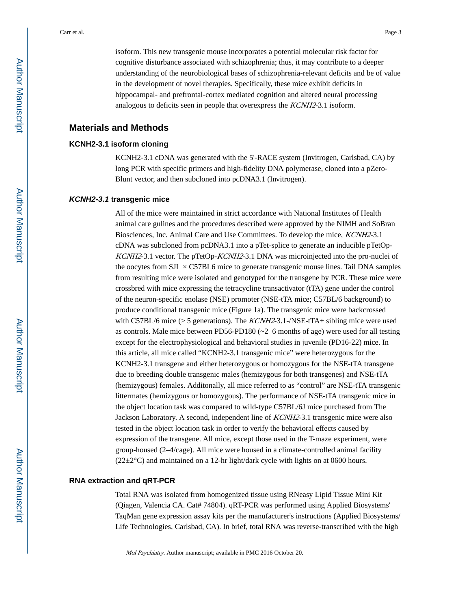isoform. This new transgenic mouse incorporates a potential molecular risk factor for cognitive disturbance associated with schizophrenia; thus, it may contribute to a deeper understanding of the neurobiological bases of schizophrenia-relevant deficits and be of value in the development of novel therapies. Specifically, these mice exhibit deficits in hippocampal- and prefrontal-cortex mediated cognition and altered neural processing analogous to deficits seen in people that overexpress the KCNH2-3.1 isoform.

### **Materials and Methods**

### **KCNH2-3.1 isoform cloning**

KCNH2-3.1 cDNA was generated with the 5'-RACE system (Invitrogen, Carlsbad, CA) by long PCR with specific primers and high-fidelity DNA polymerase, cloned into a pZero-Blunt vector, and then subcloned into pcDNA3.1 (Invitrogen).

#### **KCNH2-3.1 transgenic mice**

All of the mice were maintained in strict accordance with National Institutes of Health animal care gulines and the procedures described were approved by the NIMH and SoBran Biosciences, Inc. Animal Care and Use Committees. To develop the mice, KCNH2-3.1 cDNA was subcloned from pcDNA3.1 into a pTet-splice to generate an inducible pTetOp-KCNH2-3.1 vector. The pTetOp-KCNH2-3.1 DNA was microinjected into the pro-nuclei of the oocytes from  $SL \times C57BL6$  mice to generate transgenic mouse lines. Tail DNA samples from resulting mice were isolated and genotyped for the transgene by PCR. These mice were crossbred with mice expressing the tetracycline transactivator (tTA) gene under the control of the neuron-specific enolase (NSE) promoter (NSE-tTA mice; C57BL/6 background) to produce conditional transgenic mice (Figure 1a). The transgenic mice were backcrossed with C57BL/6 mice (5 generations). The KCNH2-3.1-/NSE-tTA+ sibling mice were used as controls. Male mice between PD56-PD180  $(\sim 2-6$  months of age) were used for all testing except for the electrophysiological and behavioral studies in juvenile (PD16-22) mice. In this article, all mice called "KCNH2-3.1 transgenic mice" were heterozygous for the KCNH2-3.1 transgene and either heterozygous or homozygous for the NSE-tTA transgene due to breeding double transgenic males (hemizygous for both transgenes) and NSE-tTA (hemizygous) females. Additonally, all mice referred to as "control" are NSE-tTA transgenic littermates (hemizygous or homozygous). The performance of NSE-tTA transgenic mice in the object location task was compared to wild-type C57BL/6J mice purchased from The Jackson Laboratory. A second, independent line of KCNH2-3.1 transgenic mice were also tested in the object location task in order to verify the behavioral effects caused by expression of the transgene. All mice, except those used in the T-maze experiment, were group-housed (2–4/cage). All mice were housed in a climate-controlled animal facility  $(22\pm2\degree C)$  and maintained on a 12-hr light/dark cycle with lights on at 0600 hours.

#### **RNA extraction and qRT-PCR**

Total RNA was isolated from homogenized tissue using RNeasy Lipid Tissue Mini Kit (Qiagen, Valencia CA. Cat# 74804). qRT-PCR was performed using Applied Biosystems' TaqMan gene expression assay kits per the manufacturer's instructions (Applied Biosystems/ Life Technologies, Carlsbad, CA). In brief, total RNA was reverse-transcribed with the high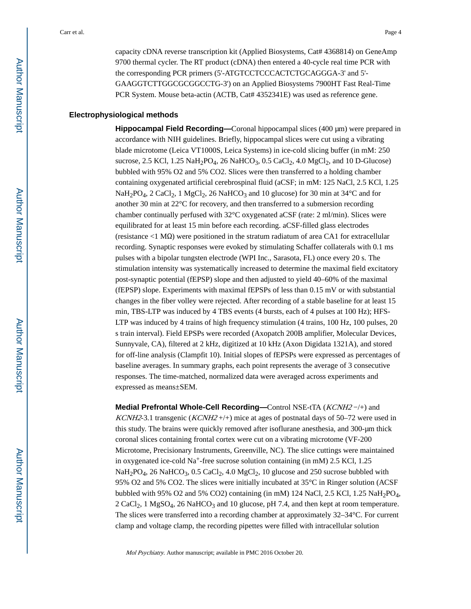capacity cDNA reverse transcription kit (Applied Biosystems, Cat# 4368814) on GeneAmp 9700 thermal cycler. The RT product (cDNA) then entered a 40-cycle real time PCR with the corresponding PCR primers (5'-ATGTCCTCCCACTCTGCAGGGA-3' and 5'- GAAGGTCTTGGCGCGGCCTG-3') on an Applied Biosystems 7900HT Fast Real-Time PCR System. Mouse beta-actin (ACTB, Cat# 4352341E) was used as reference gene.

#### **Electrophysiological methods**

**Hippocampal Field Recording—**Coronal hippocampal slices (400 μm) were prepared in accordance with NIH guidelines. Briefly, hippocampal slices were cut using a vibrating blade microtome (Leica VT1000S, Leica Systems) in ice-cold slicing buffer (in mM: 250 sucrose, 2.5 KCl,  $1.25$  NaH<sub>2</sub>PO<sub>4</sub>, 26 NaHCO<sub>3</sub>, 0.5 CaCl<sub>2</sub>, 4.0 MgCl<sub>2</sub>, and 10 D-Glucose) bubbled with 95% O2 and 5% CO2. Slices were then transferred to a holding chamber containing oxygenated artificial cerebrospinal fluid (aCSF; in mM: 125 NaCl, 2.5 KCl, 1.25 NaH<sub>2</sub>PO<sub>4</sub>, 2 CaCl<sub>2</sub>, 1 MgCl<sub>2</sub>, 26 NaHCO<sub>3</sub> and 10 glucose) for 30 min at 34°C and for another 30 min at 22°C for recovery, and then transferred to a submersion recording chamber continually perfused with 32°C oxygenated aCSF (rate: 2 ml/min). Slices were equilibrated for at least 15 min before each recording. aCSF-filled glass electrodes (resistance <1 MΩ) were positioned in the stratum radiatum of area CA1 for extracellular recording. Synaptic responses were evoked by stimulating Schaffer collaterals with 0.1 ms pulses with a bipolar tungsten electrode (WPI Inc., Sarasota, FL) once every 20 s. The stimulation intensity was systematically increased to determine the maximal field excitatory post-synaptic potential (fEPSP) slope and then adjusted to yield 40–60% of the maximal (fEPSP) slope. Experiments with maximal fEPSPs of less than 0.15 mV or with substantial changes in the fiber volley were rejected. After recording of a stable baseline for at least 15 min, TBS-LTP was induced by 4 TBS events (4 bursts, each of 4 pulses at 100 Hz); HFS-LTP was induced by 4 trains of high frequency stimulation (4 trains, 100 Hz, 100 pulses, 20 s train interval). Field EPSPs were recorded (Axopatch 200B amplifier, Molecular Devices, Sunnyvale, CA), filtered at 2 kHz, digitized at 10 kHz (Axon Digidata 1321A), and stored for off-line analysis (Clampfit 10). Initial slopes of fEPSPs were expressed as percentages of baseline averages. In summary graphs, each point represents the average of 3 consecutive responses. The time-matched, normalized data were averaged across experiments and expressed as means±SEM.

**Medial Prefrontal Whole-Cell Recording—**Control NSE-tTA (KCNH2 −/+) and KCNH2-3.1 transgenic (KCNH2 +/+) mice at ages of postnatal days of 50–72 were used in this study. The brains were quickly removed after isoflurane anesthesia, and 300-μm thick coronal slices containing frontal cortex were cut on a vibrating microtome (VF-200 Microtome, Precisionary Instruments, Greenville, NC). The slice cuttings were maintained in oxygenated ice-cold  $Na^+$ -free sucrose solution containing (in mM) 2.5 KCl, 1.25  $N\text{aH}_2PO_4$ , 26 NaHCO<sub>3</sub>, 0.5 CaCl<sub>2</sub>, 4.0 MgCl<sub>2</sub>, 10 glucose and 250 sucrose bubbled with 95% O2 and 5% CO2. The slices were initially incubated at 35°C in Ringer solution (ACSF bubbled with 95% O2 and 5% CO2) containing (in mM) 124 NaCl, 2.5 KCl, 1.25 NaH<sub>2</sub>PO<sub>4</sub>,  $2 \text{ CaCl}_2$ , 1 MgSO<sub>4</sub>, 26 NaHCO<sub>3</sub> and 10 glucose, pH 7.4, and then kept at room temperature. The slices were transferred into a recording chamber at approximately 32–34°C. For current clamp and voltage clamp, the recording pipettes were filled with intracellular solution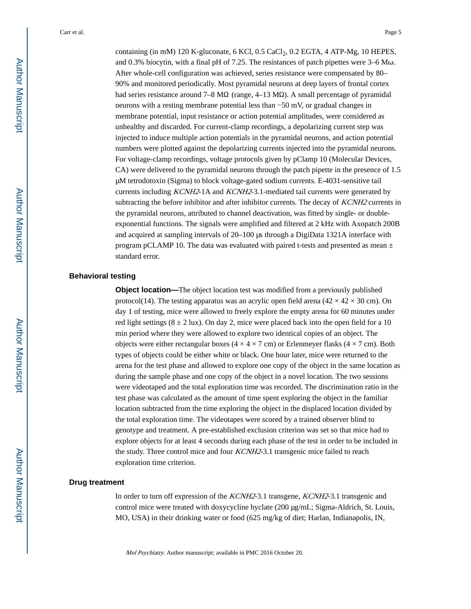containing (in mM) 120 K-gluconate,  $6$  KCl, 0.5 CaCl<sub>2</sub>, 0.2 EGTA, 4 ATP-Mg, 10 HEPES, and 0.3% biocytin, with a final pH of 7.25. The resistances of patch pipettes were 3–6 Mω. After whole-cell configuration was achieved, series resistance were compensated by 80– 90% and monitored periodically. Most pyramidal neurons at deep layers of frontal cortex had series resistance around 7–8 M $\Omega$  (range, 4–13 M $\Omega$ ). A small percentage of pyramidal neurons with a resting membrane potential less than −50 mV, or gradual changes in membrane potential, input resistance or action potential amplitudes, were considered as unhealthy and discarded. For current-clamp recordings, a depolarizing current step was injected to induce multiple action potentials in the pyramidal neurons, and action potential numbers were plotted against the depolarizing currents injected into the pyramidal neurons. For voltage-clamp recordings, voltage protocols given by pClamp 10 (Molecular Devices, CA) were delivered to the pyramidal neurons through the patch pipette in the presence of 1.5 μM tetrodotoxin (Sigma) to block voltage-gated sodium currents. E-4031-sensitive tail currents including KCNH2-1A and KCNH2-3.1-mediated tail currents were generated by subtracting the before inhibitor and after inhibitor currents. The decay of KCNH2 currents in the pyramidal neurons, attributed to channel deactivation, was fitted by single- or doubleexponential functions. The signals were amplified and filtered at 2 kHz with Axopatch 200B and acquired at sampling intervals of 20–100 μs through a DigiData 1321A interface with program pCLAMP 10. The data was evaluated with paired t-tests and presented as mean  $\pm$ standard error.

## **Behavioral testing**

**Object location—**The object location test was modified from a previously published protocol(14). The testing apparatus was an acrylic open field arena ( $42 \times 42 \times 30$  cm). On day 1 of testing, mice were allowed to freely explore the empty arena for 60 minutes under red light settings  $(8 \pm 2 \text{ lux})$ . On day 2, mice were placed back into the open field for a 10 min period where they were allowed to explore two identical copies of an object. The objects were either rectangular boxes ( $4 \times 4 \times 7$  cm) or Erlenmeyer flasks ( $4 \times 7$  cm). Both types of objects could be either white or black. One hour later, mice were returned to the arena for the test phase and allowed to explore one copy of the object in the same location as during the sample phase and one copy of the object in a novel location. The two sessions were videotaped and the total exploration time was recorded. The discrimination ratio in the test phase was calculated as the amount of time spent exploring the object in the familiar location subtracted from the time exploring the object in the displaced location divided by the total exploration time. The videotapes were scored by a trained observer blind to genotype and treatment. A pre-established exclusion criterion was set so that mice had to explore objects for at least 4 seconds during each phase of the test in order to be included in the study. Three control mice and four KCNH2-3.1 transgenic mice failed to reach exploration time criterion.

#### **Drug treatment**

In order to turn off expression of the KCNH2-3.1 transgene, KCNH2-3.1 transgenic and control mice were treated with doxycycline hyclate (200 μg/mL; Sigma-Aldrich, St. Louis, MO, USA) in their drinking water or food (625 mg/kg of diet; Harlan, Indianapolis, IN,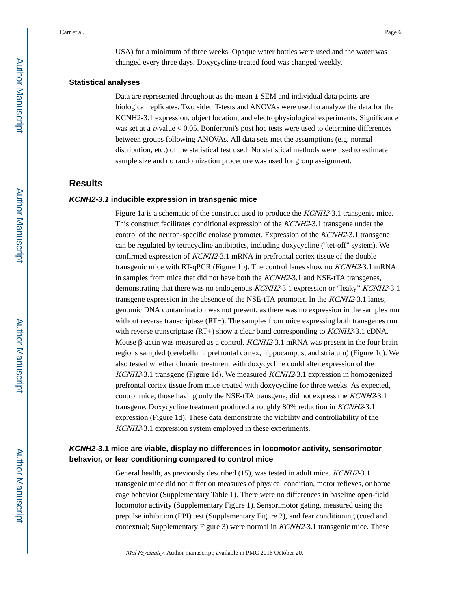USA) for a minimum of three weeks. Opaque water bottles were used and the water was changed every three days. Doxycycline-treated food was changed weekly.

#### **Statistical analyses**

Data are represented throughout as the mean  $\pm$  SEM and individual data points are biological replicates. Two sided T-tests and ANOVAs were used to analyze the data for the KCNH2-3.1 expression, object location, and electrophysiological experiments. Significance was set at a  $p$ -value  $< 0.05$ . Bonferroni's post hoc tests were used to determine differences between groups following ANOVAs. All data sets met the assumptions (e.g. normal distribution, etc.) of the statistical test used. No statistical methods were used to estimate sample size and no randomization procedure was used for group assignment.

## **Results**

#### **KCNH2-3.1 inducible expression in transgenic mice**

Figure 1a is a schematic of the construct used to produce the *KCNH2*-3.1 transgenic mice. This construct facilitates conditional expression of the KCNH2-3.1 transgene under the control of the neuron-specific enolase promoter. Expression of the KCNH2-3.1 transgene can be regulated by tetracycline antibiotics, including doxycycline ("tet-off" system). We confirmed expression of KCNH2-3.1 mRNA in prefrontal cortex tissue of the double transgenic mice with RT-qPCR (Figure 1b). The control lanes show no KCNH2-3.1 mRNA in samples from mice that did not have both the KCNH2-3.1 and NSE-tTA transgenes, demonstrating that there was no endogenous KCNH2-3.1 expression or "leaky" KCNH2-3.1 transgene expression in the absence of the NSE-tTA promoter. In the KCNH2-3.1 lanes, genomic DNA contamination was not present, as there was no expression in the samples run without reverse transcriptase (RT−). The samples from mice expressing both transgenes run with reverse transcriptase (RT+) show a clear band corresponding to *KCNH2*-3.1 cDNA. Mouse β-actin was measured as a control. KCNH2-3.1 mRNA was present in the four brain regions sampled (cerebellum, prefrontal cortex, hippocampus, and striatum) (Figure 1c). We also tested whether chronic treatment with doxycycline could alter expression of the KCNH2-3.1 transgene (Figure 1d). We measured KCNH2-3.1 expression in homogenized prefrontal cortex tissue from mice treated with doxycycline for three weeks. As expected, control mice, those having only the NSE-tTA transgene, did not express the KCNH2-3.1 transgene. Doxycycline treatment produced a roughly 80% reduction in KCNH2-3.1 expression (Figure 1d). These data demonstrate the viability and controllability of the KCNH2-3.1 expression system employed in these experiments.

## **KCNH2-3.1 mice are viable, display no differences in locomotor activity, sensorimotor behavior, or fear conditioning compared to control mice**

General health, as previously described (15), was tested in adult mice. KCNH2-3.1 transgenic mice did not differ on measures of physical condition, motor reflexes, or home cage behavior (Supplementary Table 1). There were no differences in baseline open-field locomotor activity (Supplementary Figure 1). Sensorimotor gating, measured using the prepulse inhibition (PPI) test (Supplementary Figure 2), and fear conditioning (cued and contextual; Supplementary Figure 3) were normal in KCNH2-3.1 transgenic mice. These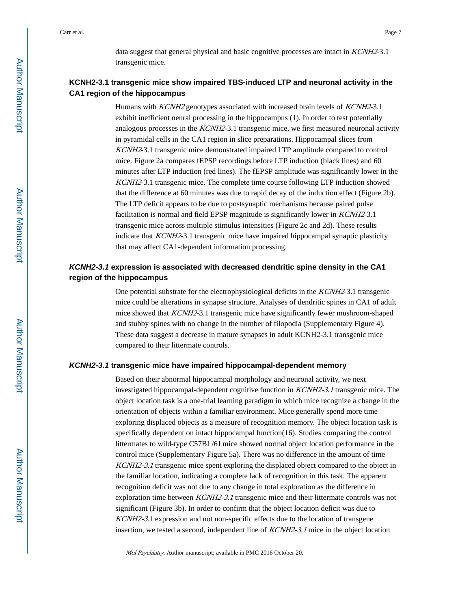data suggest that general physical and basic cognitive processes are intact in *KCNH2*-3.1 transgenic mice.

## **KCNH2-3.1 transgenic mice show impaired TBS-induced LTP and neuronal activity in the CA1 region of the hippocampus**

Humans with KCNH2 genotypes associated with increased brain levels of KCNH2-3.1 exhibit inefficient neural processing in the hippocampus (1). In order to test potentially analogous processes in the KCNH2-3.1 transgenic mice, we first measured neuronal activity in pyramidal cells in the CA1 region in slice preparations. Hippocampal slices from KCNH2-3.1 transgenic mice demonstrated impaired LTP amplitude compared to control mice. Figure 2a compares fEPSP recordings before LTP induction (black lines) and 60 minutes after LTP induction (red lines). The fEPSP amplitude was significantly lower in the KCNH2-3.1 transgenic mice. The complete time course following LTP induction showed that the difference at 60 minutes was due to rapid decay of the induction effect (Figure 2b). The LTP deficit appears to be due to postsynaptic mechanisms because paired pulse facilitation is normal and field EPSP magnitude is significantly lower in KCNH2-3.1 transgenic mice across multiple stimulus intensities (Figure 2c and 2d). These results indicate that KCNH2-3.1 transgenic mice have impaired hippocampal synaptic plasticity that may affect CA1-dependent information processing.

## **KCNH2-3.1 expression is associated with decreased dendritic spine density in the CA1 region of the hippocampus**

One potential substrate for the electrophysiological deficits in the KCNH2-3.1 transgenic mice could be alterations in synapse structure. Analyses of dendritic spines in CA1 of adult mice showed that KCNH2-3.1 transgenic mice have significantly fewer mushroom-shaped and stubby spines with no change in the number of filopodia (Supplementary Figure 4). These data suggest a decrease in mature synapses in adult KCNH2-3.1 transgenic mice compared to their littermate controls.

#### **KCNH2-3.1 transgenic mice have impaired hippocampal-dependent memory**

Based on their abnormal hippocampal morphology and neuronal activity, we next investigated hippocampal-dependent cognitive function in *KCNH2-3.1* transgenic mice. The object location task is a one-trial learning paradigm in which mice recognize a change in the orientation of objects within a familiar environment. Mice generally spend more time exploring displaced objects as a measure of recognition memory. The object location task is specifically dependent on intact hippocampal function(16). Studies comparing the control littermates to wild-type C57BL/6J mice showed normal object location performance in the control mice (Supplementary Figure 5a). There was no difference in the amount of time KCNH2-3.1 transgenic mice spent exploring the displaced object compared to the object in the familiar location, indicating a complete lack of recognition in this task. The apparent recognition deficit was not due to any change in total exploration as the difference in exploration time between *KCNH2-3.1* transgenic mice and their littermate controls was not significant (Figure 3b). In order to confirm that the object location deficit was due to KCNH2-3.1 expression and not non-specific effects due to the location of transgene insertion, we tested a second, independent line of KCNH2-3.1 mice in the object location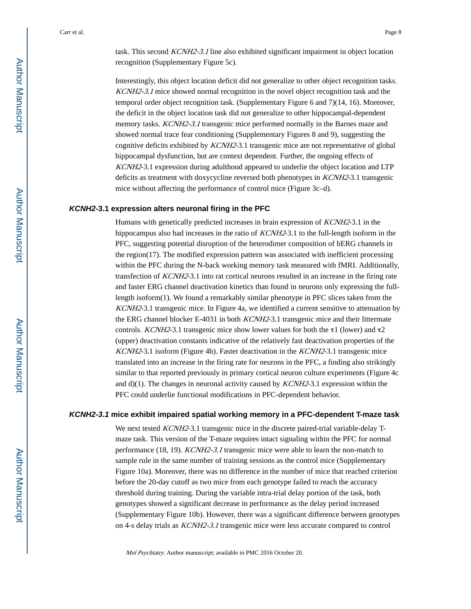task. This second KCNH2-3.1 line also exhibited significant impairment in object location recognition (Supplementary Figure 5c).

Interestingly, this object location deficit did not generalize to other object recognition tasks. KCNH2-3.1 mice showed normal recognition in the novel object recognition task and the temporal order object recognition task. (Supplementary Figure 6 and 7)(14, 16). Moreover, the deficit in the object location task did not generalize to other hippocampal-dependent memory tasks. *KCNH2-3.1* transgenic mice performed normally in the Barnes maze and showed normal trace fear conditioning (Supplementary Figures 8 and 9), suggesting the cognitive deficits exhibited by KCNH2-3.1 transgenic mice are not representative of global hippocampal dysfunction, but are context dependent. Further, the ongoing effects of KCNH2-3.1 expression during adulthood appeared to underlie the object location and LTP deficits as treatment with doxycycline reversed both phenotypes in KCNH2-3.1 transgenic mice without affecting the performance of control mice (Figure 3c–d).

#### **KCNH2-3.1 expression alters neuronal firing in the PFC**

Humans with genetically predicted increases in brain expression of KCNH2-3.1 in the hippocampus also had increases in the ratio of *KCNH2*-3.1 to the full-length isoform in the PFC, suggesting potential disruption of the heterodimer composition of hERG channels in the region(17). The modified expression pattern was associated with inefficient processing within the PFC during the N-back working memory task measured with fMRI. Additionally, transfection of KCNH2-3.1 into rat cortical neurons resulted in an increase in the firing rate and faster ERG channel deactivation kinetics than found in neurons only expressing the fulllength isoform(1). We found a remarkably similar phenotype in PFC slices taken from the KCNH2-3.1 transgenic mice. In Figure 4a, we identified a current sensitive to attenuation by the ERG channel blocker E-4031 in both KCNH2-3.1 transgenic mice and their littermate controls. KCNH2-3.1 transgenic mice show lower values for both the  $\tau$ 1 (lower) and  $\tau$ 2 (upper) deactivation constants indicative of the relatively fast deactivation properties of the KCNH2-3.1 isoform (Figure 4b). Faster deactivation in the KCNH2-3.1 transgenic mice translated into an increase in the firing rate for neurons in the PFC, a finding also strikingly similar to that reported previously in primary cortical neuron culture experiments (Figure 4c and  $d(1)$ . The changes in neuronal activity caused by *KCNH2*-3.1 expression within the PFC could underlie functional modifications in PFC-dependent behavior.

## **KCNH2-3.1 mice exhibit impaired spatial working memory in a PFC-dependent T-maze task**

We next tested *KCNH2*-3.1 transgenic mice in the discrete paired-trial variable-delay Tmaze task. This version of the T-maze requires intact signaling within the PFC for normal performance (18, 19). KCNH2-3.1 transgenic mice were able to learn the non-match to sample rule in the same number of training sessions as the control mice (Supplementary Figure 10a). Moreover, there was no difference in the number of mice that reached criterion before the 20-day cutoff as two mice from each genotype failed to reach the accuracy threshold during training. During the variable intra-trial delay portion of the task, both genotypes showed a significant decrease in performance as the delay period increased (Supplementary Figure 10b). However, there was a significant difference between genotypes on 4-s delay trials as KCNH2-3.1 transgenic mice were less accurate compared to control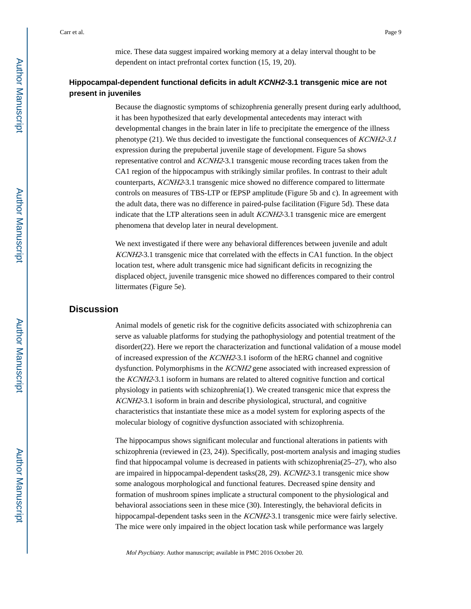mice. These data suggest impaired working memory at a delay interval thought to be dependent on intact prefrontal cortex function (15, 19, 20).

## **Hippocampal-dependent functional deficits in adult KCNH2-3.1 transgenic mice are not present in juveniles**

Because the diagnostic symptoms of schizophrenia generally present during early adulthood, it has been hypothesized that early developmental antecedents may interact with developmental changes in the brain later in life to precipitate the emergence of the illness phenotype (21). We thus decided to investigate the functional consequences of KCNH2-3.1 expression during the prepubertal juvenile stage of development. Figure 5a shows representative control and KCNH2-3.1 transgenic mouse recording traces taken from the CA1 region of the hippocampus with strikingly similar profiles. In contrast to their adult counterparts, KCNH2-3.1 transgenic mice showed no difference compared to littermate controls on measures of TBS-LTP or fEPSP amplitude (Figure 5b and c). In agreement with the adult data, there was no difference in paired-pulse facilitation (Figure 5d). These data indicate that the LTP alterations seen in adult KCNH2-3.1 transgenic mice are emergent phenomena that develop later in neural development.

We next investigated if there were any behavioral differences between juvenile and adult KCNH2-3.1 transgenic mice that correlated with the effects in CA1 function. In the object location test, where adult transgenic mice had significant deficits in recognizing the displaced object, juvenile transgenic mice showed no differences compared to their control littermates (Figure 5e).

## **Discussion**

Animal models of genetic risk for the cognitive deficits associated with schizophrenia can serve as valuable platforms for studying the pathophysiology and potential treatment of the disorder(22). Here we report the characterization and functional validation of a mouse model of increased expression of the KCNH2-3.1 isoform of the hERG channel and cognitive dysfunction. Polymorphisms in the KCNH2 gene associated with increased expression of the KCNH2-3.1 isoform in humans are related to altered cognitive function and cortical physiology in patients with schizophrenia(1). We created transgenic mice that express the KCNH2-3.1 isoform in brain and describe physiological, structural, and cognitive characteristics that instantiate these mice as a model system for exploring aspects of the molecular biology of cognitive dysfunction associated with schizophrenia.

The hippocampus shows significant molecular and functional alterations in patients with schizophrenia (reviewed in (23, 24)). Specifically, post-mortem analysis and imaging studies find that hippocampal volume is decreased in patients with schizophrenia( $25-27$ ), who also are impaired in hippocampal-dependent tasks(28, 29). KCNH2-3.1 transgenic mice show some analogous morphological and functional features. Decreased spine density and formation of mushroom spines implicate a structural component to the physiological and behavioral associations seen in these mice (30). Interestingly, the behavioral deficits in hippocampal-dependent tasks seen in the *KCNH2*-3.1 transgenic mice were fairly selective. The mice were only impaired in the object location task while performance was largely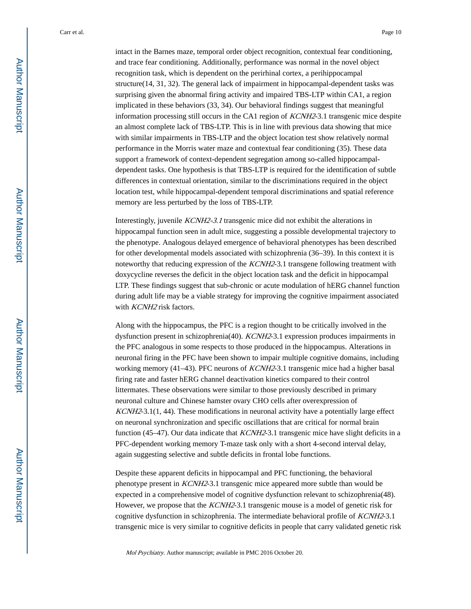intact in the Barnes maze, temporal order object recognition, contextual fear conditioning, and trace fear conditioning. Additionally, performance was normal in the novel object recognition task, which is dependent on the perirhinal cortex, a perihippocampal structure(14, 31, 32). The general lack of impairment in hippocampal-dependent tasks was surprising given the abnormal firing activity and impaired TBS-LTP within CA1, a region implicated in these behaviors (33, 34). Our behavioral findings suggest that meaningful information processing still occurs in the CA1 region of KCNH2-3.1 transgenic mice despite an almost complete lack of TBS-LTP. This is in line with previous data showing that mice with similar impairments in TBS-LTP and the object location test show relatively normal performance in the Morris water maze and contextual fear conditioning (35). These data support a framework of context-dependent segregation among so-called hippocampaldependent tasks. One hypothesis is that TBS-LTP is required for the identification of subtle differences in contextual orientation, similar to the discriminations required in the object location test, while hippocampal-dependent temporal discriminations and spatial reference memory are less perturbed by the loss of TBS-LTP.

Interestingly, juvenile KCNH2-3.1 transgenic mice did not exhibit the alterations in hippocampal function seen in adult mice, suggesting a possible developmental trajectory to the phenotype. Analogous delayed emergence of behavioral phenotypes has been described for other developmental models associated with schizophrenia (36–39). In this context it is noteworthy that reducing expression of the *KCNH2*-3.1 transgene following treatment with doxycycline reverses the deficit in the object location task and the deficit in hippocampal LTP. These findings suggest that sub-chronic or acute modulation of hERG channel function during adult life may be a viable strategy for improving the cognitive impairment associated with *KCNH2* risk factors.

Along with the hippocampus, the PFC is a region thought to be critically involved in the dysfunction present in schizophrenia(40). KCNH2-3.1 expression produces impairments in the PFC analogous in some respects to those produced in the hippocampus. Alterations in neuronal firing in the PFC have been shown to impair multiple cognitive domains, including working memory (41–43). PFC neurons of *KCNH2*-3.1 transgenic mice had a higher basal firing rate and faster hERG channel deactivation kinetics compared to their control littermates. These observations were similar to those previously described in primary neuronal culture and Chinese hamster ovary CHO cells after overexpression of KCNH2-3.1(1, 44). These modifications in neuronal activity have a potentially large effect on neuronal synchronization and specific oscillations that are critical for normal brain function (45–47). Our data indicate that *KCNH2*-3.1 transgenic mice have slight deficits in a PFC-dependent working memory T-maze task only with a short 4-second interval delay, again suggesting selective and subtle deficits in frontal lobe functions.

Despite these apparent deficits in hippocampal and PFC functioning, the behavioral phenotype present in KCNH2-3.1 transgenic mice appeared more subtle than would be expected in a comprehensive model of cognitive dysfunction relevant to schizophrenia(48). However, we propose that the KCNH2-3.1 transgenic mouse is a model of genetic risk for cognitive dysfunction in schizophrenia. The intermediate behavioral profile of KCNH2-3.1 transgenic mice is very similar to cognitive deficits in people that carry validated genetic risk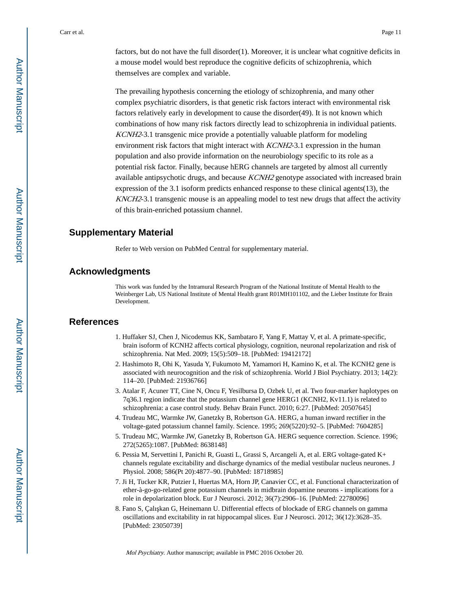factors, but do not have the full disorder(1). Moreover, it is unclear what cognitive deficits in a mouse model would best reproduce the cognitive deficits of schizophrenia, which themselves are complex and variable.

The prevailing hypothesis concerning the etiology of schizophrenia, and many other complex psychiatric disorders, is that genetic risk factors interact with environmental risk factors relatively early in development to cause the disorder(49). It is not known which combinations of how many risk factors directly lead to schizophrenia in individual patients. KCNH2-3.1 transgenic mice provide a potentially valuable platform for modeling environment risk factors that might interact with *KCNH2*-3.1 expression in the human population and also provide information on the neurobiology specific to its role as a potential risk factor. Finally, because hERG channels are targeted by almost all currently available antipsychotic drugs, and because KCNH2 genotype associated with increased brain expression of the 3.1 isoform predicts enhanced response to these clinical agents(13), the KNCH2-3.1 transgenic mouse is an appealing model to test new drugs that affect the activity of this brain-enriched potassium channel.

## **Supplementary Material**

Refer to Web version on PubMed Central for supplementary material.

## **Acknowledgments**

This work was funded by the Intramural Research Program of the National Institute of Mental Health to the Weinberger Lab, US National Institute of Mental Health grant R01MH101102, and the Lieber Institute for Brain Development.

## **References**

- 1. Huffaker SJ, Chen J, Nicodemus KK, Sambataro F, Yang F, Mattay V, et al. A primate-specific, brain isoform of KCNH2 affects cortical physiology, cognition, neuronal repolarization and risk of schizophrenia. Nat Med. 2009; 15(5):509–18. [PubMed: 19412172]
- 2. Hashimoto R, Ohi K, Yasuda Y, Fukumoto M, Yamamori H, Kamino K, et al. The KCNH2 gene is associated with neurocognition and the risk of schizophrenia. World J Biol Psychiatry. 2013; 14(2): 114–20. [PubMed: 21936766]
- 3. Atalar F, Acuner TT, Cine N, Oncu F, Yesilbursa D, Ozbek U, et al. Two four-marker haplotypes on 7q36.1 region indicate that the potassium channel gene HERG1 (KCNH2, Kv11.1) is related to schizophrenia: a case control study. Behav Brain Funct. 2010; 6:27. [PubMed: 20507645]
- 4. Trudeau MC, Warmke JW, Ganetzky B, Robertson GA. HERG, a human inward rectifier in the voltage-gated potassium channel family. Science. 1995; 269(5220):92–5. [PubMed: 7604285]
- 5. Trudeau MC, Warmke JW, Ganetzky B, Robertson GA. HERG sequence correction. Science. 1996; 272(5265):1087. [PubMed: 8638148]
- 6. Pessia M, Servettini I, Panichi R, Guasti L, Grassi S, Arcangeli A, et al. ERG voltage-gated K+ channels regulate excitability and discharge dynamics of the medial vestibular nucleus neurones. J Physiol. 2008; 586(Pt 20):4877–90. [PubMed: 18718985]
- 7. Ji H, Tucker KR, Putzier I, Huertas MA, Horn JP, Canavier CC, et al. Functional characterization of ether-à-go-go-related gene potassium channels in midbrain dopamine neurons - implications for a role in depolarization block. Eur J Neurosci. 2012; 36(7):2906–16. [PubMed: 22780096]
- 8. Fano S, Çalı kan G, Heinemann U. Differential effects of blockade of ERG channels on gamma oscillations and excitability in rat hippocampal slices. Eur J Neurosci. 2012; 36(12):3628–35. [PubMed: 23050739]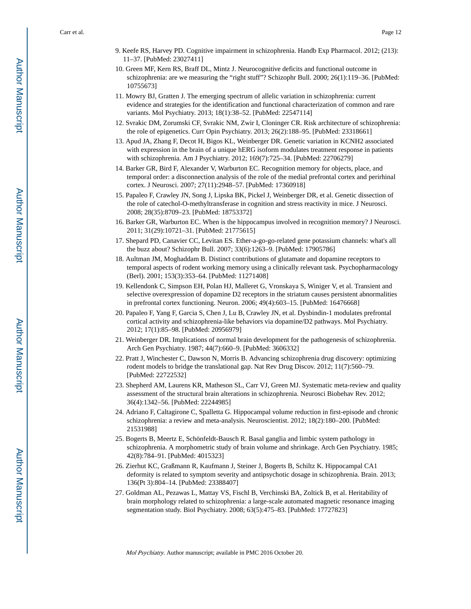- 9. Keefe RS, Harvey PD. Cognitive impairment in schizophrenia. Handb Exp Pharmacol. 2012; (213): 11–37. [PubMed: 23027411]
- 10. Green MF, Kern RS, Braff DL, Mintz J. Neurocognitive deficits and functional outcome in schizophrenia: are we measuring the "right stuff"? Schizophr Bull. 2000; 26(1):119–36. [PubMed: 10755673]
- 11. Mowry BJ, Gratten J. The emerging spectrum of allelic variation in schizophrenia: current evidence and strategies for the identification and functional characterization of common and rare variants. Mol Psychiatry. 2013; 18(1):38–52. [PubMed: 22547114]
- 12. Svrakic DM, Zorumski CF, Svrakic NM, Zwir I, Cloninger CR. Risk architecture of schizophrenia: the role of epigenetics. Curr Opin Psychiatry. 2013; 26(2):188–95. [PubMed: 23318661]
- 13. Apud JA, Zhang F, Decot H, Bigos KL, Weinberger DR. Genetic variation in KCNH2 associated with expression in the brain of a unique hERG isoform modulates treatment response in patients with schizophrenia. Am J Psychiatry. 2012; 169(7):725–34. [PubMed: 22706279]
- 14. Barker GR, Bird F, Alexander V, Warburton EC. Recognition memory for objects, place, and temporal order: a disconnection analysis of the role of the medial prefrontal cortex and perirhinal cortex. J Neurosci. 2007; 27(11):2948–57. [PubMed: 17360918]
- 15. Papaleo F, Crawley JN, Song J, Lipska BK, Pickel J, Weinberger DR, et al. Genetic dissection of the role of catechol-O-methyltransferase in cognition and stress reactivity in mice. J Neurosci. 2008; 28(35):8709–23. [PubMed: 18753372]
- 16. Barker GR, Warburton EC. When is the hippocampus involved in recognition memory? J Neurosci. 2011; 31(29):10721–31. [PubMed: 21775615]
- 17. Shepard PD, Canavier CC, Levitan ES. Ether-a-go-go-related gene potassium channels: what's all the buzz about? Schizophr Bull. 2007; 33(6):1263–9. [PubMed: 17905786]
- 18. Aultman JM, Moghaddam B. Distinct contributions of glutamate and dopamine receptors to temporal aspects of rodent working memory using a clinically relevant task. Psychopharmacology (Berl). 2001; 153(3):353–64. [PubMed: 11271408]
- 19. Kellendonk C, Simpson EH, Polan HJ, Malleret G, Vronskaya S, Winiger V, et al. Transient and selective overexpression of dopamine D2 receptors in the striatum causes persistent abnormalities in prefrontal cortex functioning. Neuron. 2006; 49(4):603–15. [PubMed: 16476668]
- 20. Papaleo F, Yang F, Garcia S, Chen J, Lu B, Crawley JN, et al. Dysbindin-1 modulates prefrontal cortical activity and schizophrenia-like behaviors via dopamine/D2 pathways. Mol Psychiatry. 2012; 17(1):85–98. [PubMed: 20956979]
- 21. Weinberger DR. Implications of normal brain development for the pathogenesis of schizophrenia. Arch Gen Psychiatry. 1987; 44(7):660–9. [PubMed: 3606332]
- 22. Pratt J, Winchester C, Dawson N, Morris B. Advancing schizophrenia drug discovery: optimizing rodent models to bridge the translational gap. Nat Rev Drug Discov. 2012; 11(7):560–79. [PubMed: 22722532]
- 23. Shepherd AM, Laurens KR, Matheson SL, Carr VJ, Green MJ. Systematic meta-review and quality assessment of the structural brain alterations in schizophrenia. Neurosci Biobehav Rev. 2012; 36(4):1342–56. [PubMed: 22244985]
- 24. Adriano F, Caltagirone C, Spalletta G. Hippocampal volume reduction in first-episode and chronic schizophrenia: a review and meta-analysis. Neuroscientist. 2012; 18(2):180–200. [PubMed: 21531988]
- 25. Bogerts B, Meertz E, Schönfeldt-Bausch R. Basal ganglia and limbic system pathology in schizophrenia. A morphometric study of brain volume and shrinkage. Arch Gen Psychiatry. 1985; 42(8):784–91. [PubMed: 4015323]
- 26. Zierhut KC, Graßmann R, Kaufmann J, Steiner J, Bogerts B, Schiltz K. Hippocampal CA1 deformity is related to symptom severity and antipsychotic dosage in schizophrenia. Brain. 2013; 136(Pt 3):804–14. [PubMed: 23388407]
- 27. Goldman AL, Pezawas L, Mattay VS, Fischl B, Verchinski BA, Zoltick B, et al. Heritability of brain morphology related to schizophrenia: a large-scale automated magnetic resonance imaging segmentation study. Biol Psychiatry. 2008; 63(5):475–83. [PubMed: 17727823]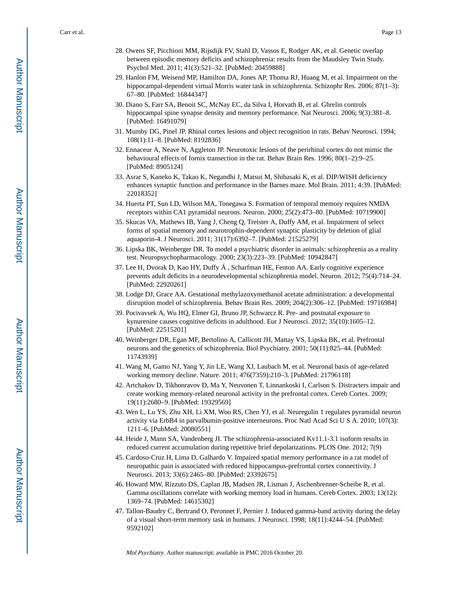- 28. Owens SF, Picchioni MM, Rijsdijk FV, Stahl D, Vassos E, Rodger AK, et al. Genetic overlap between episodic memory deficits and schizophrenia: results from the Maudsley Twin Study. Psychol Med. 2011; 41(3):521–32. [PubMed: 20459888]
- 29. Hanlon FM, Weisend MP, Hamilton DA, Jones AP, Thoma RJ, Huang M, et al. Impairment on the hippocampal-dependent virtual Morris water task in schizophrenia. Schizophr Res. 2006; 87(1-3): 67–80. [PubMed: 16844347]
- 30. Diano S, Farr SA, Benoit SC, McNay EC, da Silva I, Horvath B, et al. Ghrelin controls hippocampal spine synapse density and memory performance. Nat Neurosci. 2006; 9(3):381–8. [PubMed: 16491079]
- 31. Mumby DG, Pinel JP. Rhinal cortex lesions and object recognition in rats. Behav Neurosci. 1994; 108(1):11–8. [PubMed: 8192836]
- 32. Ennaceur A, Neave N, Aggleton JP. Neurotoxic lesions of the perirhinal cortex do not mimic the behavioural effects of fornix transection in the rat. Behav Brain Res. 1996; 80(1–2):9–25. [PubMed: 8905124]
- 33. Asrar S, Kaneko K, Takao K, Negandhi J, Matsui M, Shibasaki K, et al. DIP/WISH deficiency enhances synaptic function and performance in the Barnes maze. Mol Brain. 2011; 4:39. [PubMed: 22018352]
- 34. Huerta PT, Sun LD, Wilson MA, Tonegawa S. Formation of temporal memory requires NMDA receptors within CA1 pyramidal neurons. Neuron. 2000; 25(2):473–80. [PubMed: 10719900]
- 35. Skucas VA, Mathews IB, Yang J, Cheng Q, Treister A, Duffy AM, et al. Impairment of select forms of spatial memory and neurotrophin-dependent synaptic plasticity by deletion of glial aquaporin-4. J Neurosci. 2011; 31(17):6392–7. [PubMed: 21525279]
- 36. Lipska BK, Weinberger DR. To model a psychiatric disorder in animals: schizophrenia as a reality test. Neuropsychopharmacology. 2000; 23(3):223–39. [PubMed: 10942847]
- 37. Lee H, Dvorak D, Kao HY, Duffy Á , Scharfman HE, Fenton AA. Early cognitive experience prevents adult deficits in a neurodevelopmental schizophrenia model. Neuron. 2012; 75(4):714–24. [PubMed: 22920261]
- 38. Lodge DJ, Grace AA. Gestational methylazoxymethanol acetate administration: a developmental disruption model of schizophrenia. Behav Brain Res. 2009; 204(2):306–12. [PubMed: 19716984]
- 39. Pocivavsek A, Wu HQ, Elmer GI, Bruno JP, Schwarcz R. Pre- and postnatal exposure to kynurenine causes cognitive deficits in adulthood. Eur J Neurosci. 2012; 35(10):1605–12. [PubMed: 22515201]
- 40. Weinberger DR, Egan MF, Bertolino A, Callicott JH, Mattay VS, Lipska BK, et al. Prefrontal neurons and the genetics of schizophrenia. Biol Psychiatry. 2001; 50(11):825–44. [PubMed: 11743939]
- 41. Wang M, Gamo NJ, Yang Y, Jin LE, Wang XJ, Laubach M, et al. Neuronal basis of age-related working memory decline. Nature. 2011; 476(7359):210–3. [PubMed: 21796118]
- 42. Artchakov D, Tikhonravov D, Ma Y, Neuvonen T, Linnankoski I, Carlson S. Distracters impair and create working memory-related neuronal activity in the prefrontal cortex. Cereb Cortex. 2009; 19(11):2680–9. [PubMed: 19329569]
- 43. Wen L, Lu YS, Zhu XH, Li XM, Woo RS, Chen YJ, et al. Neuregulin 1 regulates pyramidal neuron activity via ErbB4 in parvalbumin-positive interneurons. Proc Natl Acad Sci U S A. 2010; 107(3): 1211–6. [PubMed: 20080551]
- 44. Heide J, Mann SA, Vandenberg JI. The schizophrenia-associated Kv11.1-3.1 isoform results in reduced current accumulation during repetitive brief depolarizations. PLOS One. 2012; 7(9)
- 45. Cardoso-Cruz H, Lima D, Galhardo V. Impaired spatial memory performance in a rat model of neuropathic pain is associated with reduced hippocampus-prefrontal cortex connectivity. J Neurosci. 2013; 33(6):2465–80. [PubMed: 23392675]
- 46. Howard MW, Rizzuto DS, Caplan JB, Madsen JR, Lisman J, Aschenbrenner-Scheibe R, et al. Gamma oscillations correlate with working memory load in humans. Cereb Cortex. 2003; 13(12): 1369–74. [PubMed: 14615302]
- 47. Tallon-Baudry C, Bertrand O, Peronnet F, Pernier J. Induced gamma-band activity during the delay of a visual short-term memory task in humans. J Neurosci. 1998; 18(11):4244–54. [PubMed: 9592102]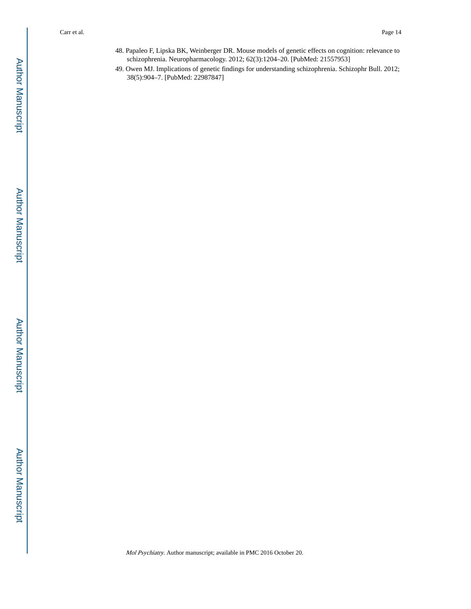- 48. Papaleo F, Lipska BK, Weinberger DR. Mouse models of genetic effects on cognition: relevance to schizophrenia. Neuropharmacology. 2012; 62(3):1204–20. [PubMed: 21557953]
- 49. Owen MJ. Implications of genetic findings for understanding schizophrenia. Schizophr Bull. 2012; 38(5):904–7. [PubMed: 22987847]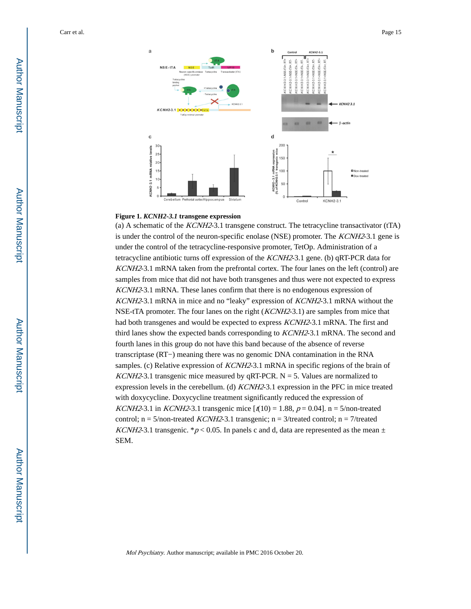

## **Figure 1.** *KCNH2-3.1* **transgene expression**

(a) A schematic of the  $KCMH2-3.1$  transgene construct. The tetracycline transactivator (tTA) is under the control of the neuron-specific enolase (NSE) promoter. The *KCNH2*-3.1 gene is under the control of the tetracycline-responsive promoter, TetOp. Administration of a tetracycline antibiotic turns off expression of the KCNH2-3.1 gene. (b) qRT-PCR data for KCNH2-3.1 mRNA taken from the prefrontal cortex. The four lanes on the left (control) are samples from mice that did not have both transgenes and thus were not expected to express KCNH2-3.1 mRNA. These lanes confirm that there is no endogenous expression of KCNH2-3.1 mRNA in mice and no "leaky" expression of KCNH2-3.1 mRNA without the NSE-tTA promoter. The four lanes on the right (*KCNH2*-3.1) are samples from mice that had both transgenes and would be expected to express KCNH2-3.1 mRNA. The first and third lanes show the expected bands corresponding to KCNH2-3.1 mRNA. The second and fourth lanes in this group do not have this band because of the absence of reverse transcriptase (RT−) meaning there was no genomic DNA contamination in the RNA samples. (c) Relative expression of *KCNH2*-3.1 mRNA in specific regions of the brain of KCNH2-3.1 transgenic mice measured by qRT-PCR.  $N = 5$ . Values are normalized to expression levels in the cerebellum. (d) KCNH2-3.1 expression in the PFC in mice treated with doxycycline. Doxycycline treatment significantly reduced the expression of *KCNH2*-3.1 in *KCNH2*-3.1 transgenic mice  $[t(10) = 1.88, p = 0.04]$ . n = 5/non-treated control;  $n = 5/non-treated KCNH2-3.1 transgenic; n = 3/treated control; n = 7/treated$ KCNH2-3.1 transgenic. \*  $p < 0.05$ . In panels c and d, data are represented as the mean  $\pm$ SEM.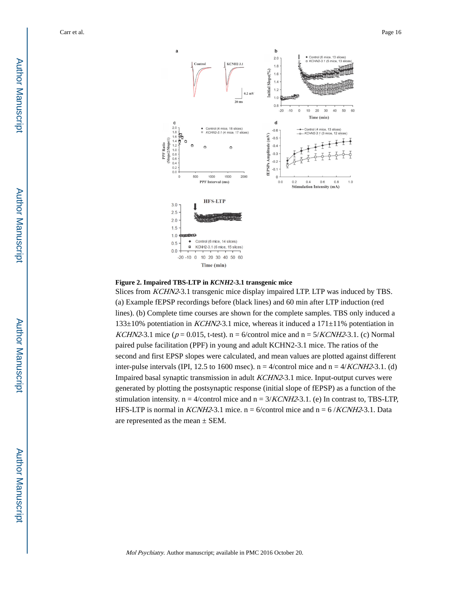



Slices from KCHN2-3.1 transgenic mice display impaired LTP. LTP was induced by TBS. (a) Example fEPSP recordings before (black lines) and 60 min after LTP induction (red lines). (b) Complete time courses are shown for the complete samples. TBS only induced a 133±10% potentiation in *KCHN2*-3.1 mice, whereas it induced a 171±11% potentiation in KCHN2-3.1 mice ( $p = 0.015$ , t-test). n = 6/control mice and n = 5/KCNH2-3.1. (c) Normal paired pulse facilitation (PPF) in young and adult KCHN2-3.1 mice. The ratios of the second and first EPSP slopes were calculated, and mean values are plotted against different inter-pulse intervals (IPI, 12.5 to 1600 msec).  $n = 4$ /control mice and  $n = 4$ /KCNH2-3.1. (d) Impaired basal synaptic transmission in adult KCHN2-3.1 mice. Input-output curves were generated by plotting the postsynaptic response (initial slope of fEPSP) as a function of the stimulation intensity.  $n = 4$ /control mice and  $n = 3/KCNH2-3.1$ . (e) In contrast to, TBS-LTP, HFS-LTP is normal in *KCNH2*-3.1 mice.  $n = 6$ /control mice and  $n = 6$ /*KCNH2*-3.1. Data are represented as the mean ± SEM.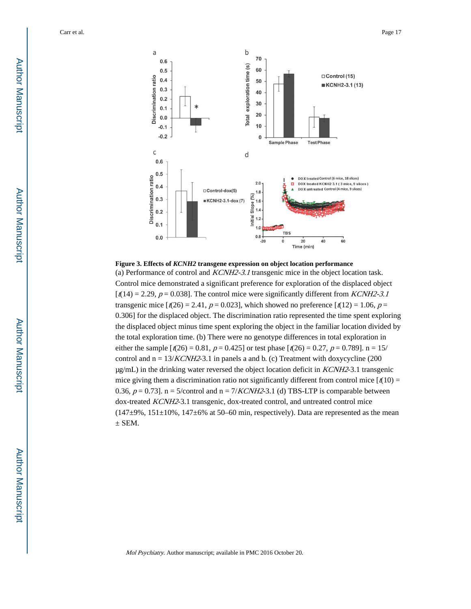

**Figure 3. Effects of** *KCNH2* **transgene expression on object location performance**

(a) Performance of control and KCNH2-3.1 transgenic mice in the object location task. Control mice demonstrated a significant preference for exploration of the displaced object  $\lceil t(14) = 2.29, p = 0.038$ . The control mice were significantly different from *KCNH2-3.1* transgenic mice  $\lbrack t(26) = 2.41, p = 0.023 \rbrack$ , which showed no preference  $\lbrack t(12) = 1.06, p =$ 0.306] for the displaced object. The discrimination ratio represented the time spent exploring the displaced object minus time spent exploring the object in the familiar location divided by the total exploration time. (b) There were no genotype differences in total exploration in either the sample  $\lceil t(26) = 0.81$ ,  $p = 0.425$  or test phase  $\lceil t(26) = 0.27$ ,  $p = 0.789$ . n = 15/ control and  $n = 13/KCNH2-3.1$  in panels a and b. (c) Treatment with doxycycline (200  $\mu$ g/mL) in the drinking water reversed the object location deficit in *KCNH2*-3.1 transgenic mice giving them a discrimination ratio not significantly different from control mice  $\left[\frac{t(10)}{10}\right]$ 0.36,  $p = 0.73$ ]. n = 5/control and n = 7/KCNH2-3.1 (d) TBS-LTP is comparable between dox-treated KCNH2-3.1 transgenic, dox-treated control, and untreated control mice  $(147\pm9\%), 151\pm10\%, 147\pm6\%$  at 50–60 min, respectively). Data are represented as the mean  $\pm$  SEM.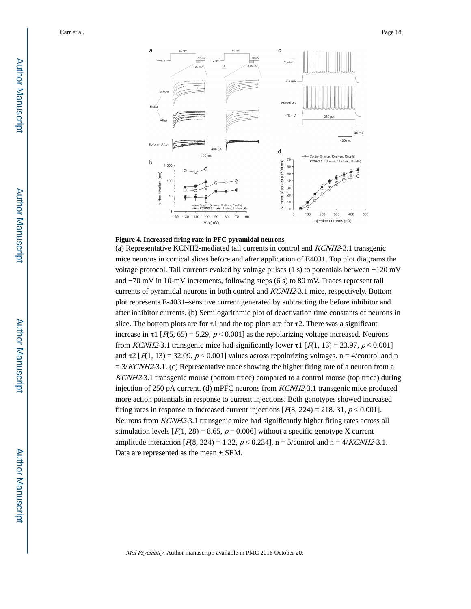

#### **Figure 4. Increased firing rate in PFC pyramidal neurons**

(a) Representative KCNH2-mediated tail currents in control and KCNH2-3.1 transgenic mice neurons in cortical slices before and after application of E4031. Top plot diagrams the voltage protocol. Tail currents evoked by voltage pulses (1 s) to potentials between −120 mV and −70 mV in 10-mV increments, following steps (6 s) to 80 mV. Traces represent tail currents of pyramidal neurons in both control and KCNH2-3.1 mice, respectively. Bottom plot represents E-4031–sensitive current generated by subtracting the before inhibitor and after inhibitor currents. (b) Semilogarithmic plot of deactivation time constants of neurons in slice. The bottom plots are for  $\tau$ 1 and the top plots are for  $\tau$ 2. There was a significant increase in  $\tau$ 1 [ $F(5, 65) = 5.29$ ,  $p < 0.001$ ] as the repolarizing voltage increased. Neurons from *KCNH2*-3.1 transgenic mice had significantly lower  $\tau$ 1 [ $R$ 1, 13) = 23.97,  $p < 0.001$ ] and  $\tau^2$  [ $F(1, 13) = 32.09$ ,  $p < 0.001$ ] values across repolarizing voltages. n = 4/control and n  $= 3/KCNH2-3.1$ . (c) Representative trace showing the higher firing rate of a neuron from a KCNH2-3.1 transgenic mouse (bottom trace) compared to a control mouse (top trace) during injection of 250 pA current. (d) mPFC neurons from KCNH2-3.1 transgenic mice produced more action potentials in response to current injections. Both genotypes showed increased firing rates in response to increased current injections  $[R8, 224] = 218.31, p < 0.001$ . Neurons from KCNH2-3.1 transgenic mice had significantly higher firing rates across all stimulation levels  $[F(1, 28) = 8.65, p = 0.006]$  without a specific genotype X current amplitude interaction  $[*R*8, 224) = 1.32, *p* < 0.234$ . n = 5/control and n = 4/*KCNH2*-3.1. Data are represented as the mean  $\pm$  SEM.